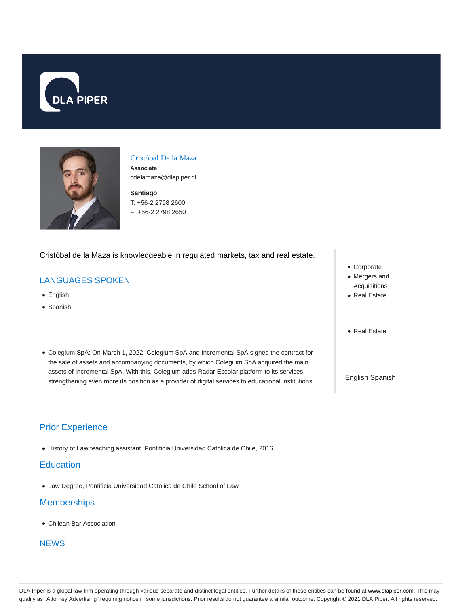



#### Cristóbal De la Maza **Associate**

cdelamaza@dlapiper.cl

**Santiago** T: +56-2 2798 2600 F: +56-2 2798 2650

Cristóbal de la Maza is knowledgeable in regulated markets, tax and real estate.

## LANGUAGES SPOKEN

- English
- Spanish
- Colegium SpA: On March 1, 2022, Colegium SpA and Incremental SpA signed the contract for the sale of assets and accompanying documents, by which Colegium SpA acquired the main assets of Incremental SpA. With this, Colegium adds Radar Escolar platform to its services, strengthening even more its position as a provider of digital services to educational institutions.
- Corporate Mergers and Acquisitions Real Estate
- Real Estate

English Spanish

# Prior Experience

History of Law teaching assistant, Pontificia Universidad Católica de Chile, 2016

## **Education**

Law Degree, Pontificia Universidad Católica de Chile School of Law

## **Memberships**

Chilean Bar Association

## **NEWS**

DLA Piper is a global law firm operating through various separate and distinct legal entities. Further details of these entities can be found at www.dlapiper.com. This may qualify as "Attorney Advertising" requiring notice in some jurisdictions. Prior results do not guarantee a similar outcome. Copyright © 2021 DLA Piper. All rights reserved.